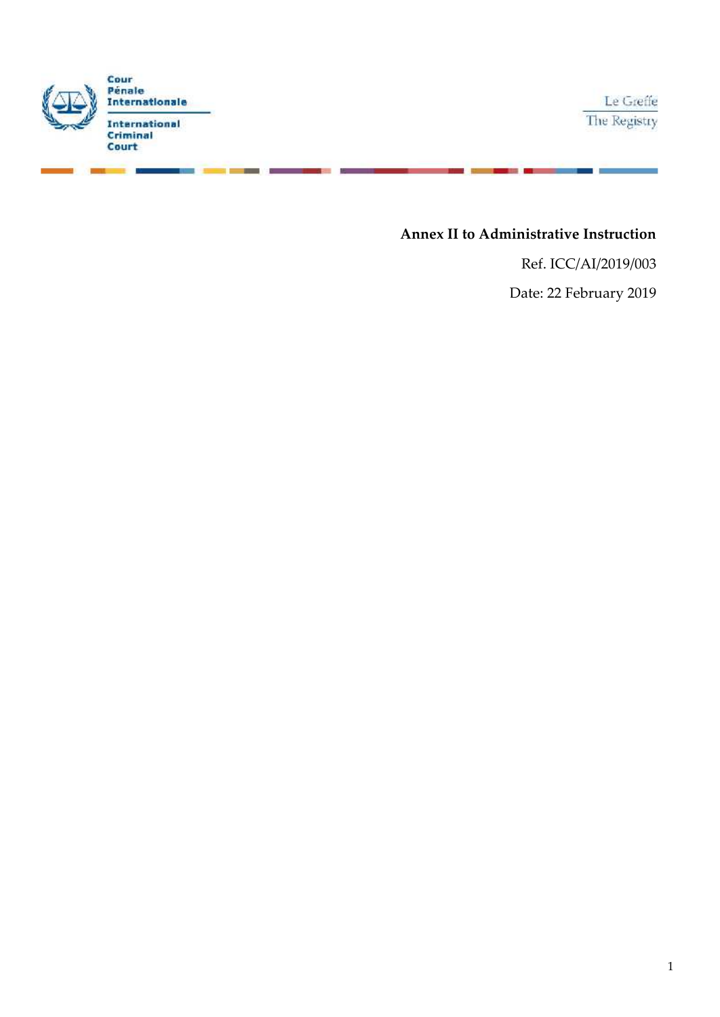

. .

## **Annex II to Administrative Instruction**

Ref. ICC/AI/2019/003 Date: 22 February 2019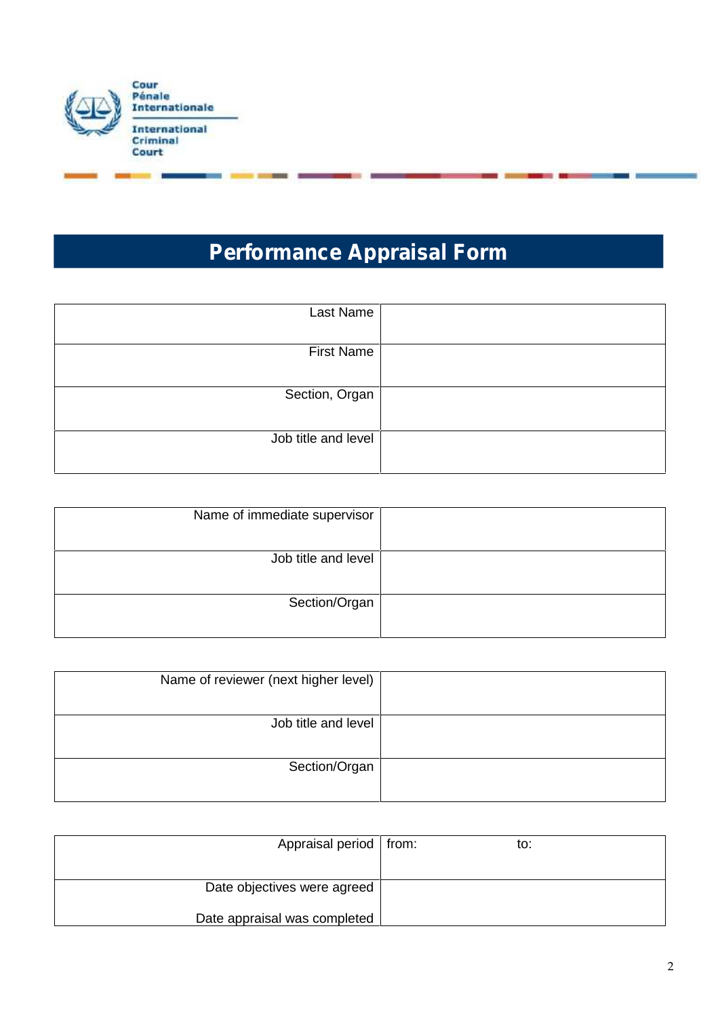

# **Performance Appraisal Form**

| Last Name           |  |
|---------------------|--|
| <b>First Name</b>   |  |
| Section, Organ      |  |
| Job title and level |  |

| Name of immediate supervisor |  |
|------------------------------|--|
| Job title and level          |  |
| Section/Organ                |  |

| Name of reviewer (next higher level) |  |
|--------------------------------------|--|
| Job title and level                  |  |
| Section/Organ                        |  |

| Appraisal period   from:     | to: |
|------------------------------|-----|
|                              |     |
| Date objectives were agreed  |     |
| Date appraisal was completed |     |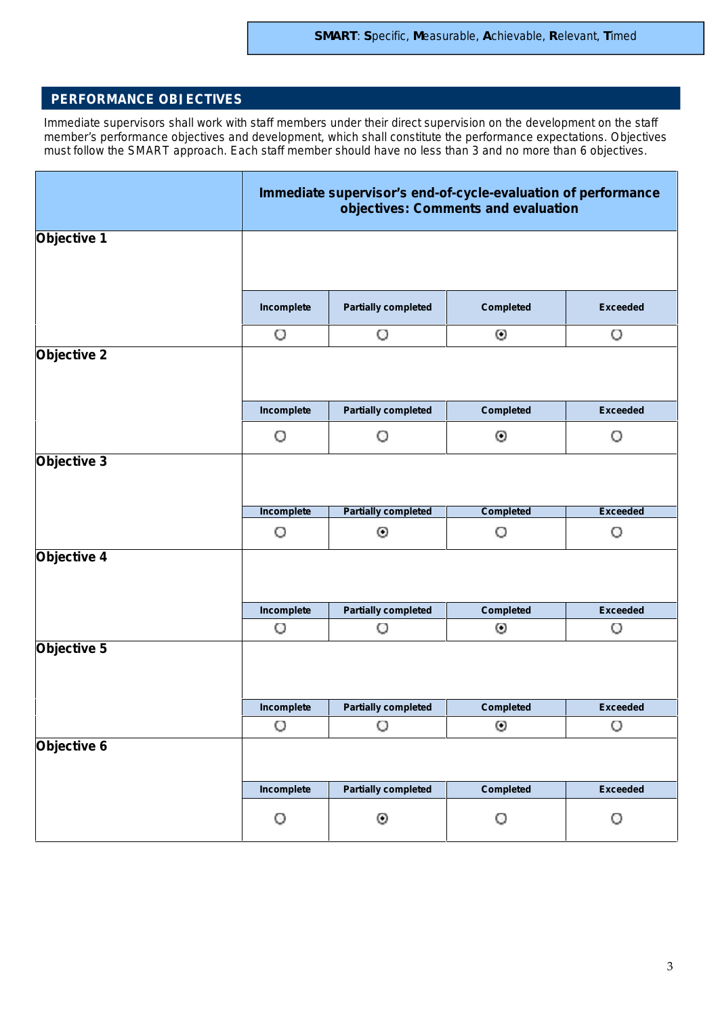## **PERFORMANCE OBJECTIVES**

*Immediate supervisors shall work with staff members under their direct supervision on the development on the staff member's performance objectives and development, which shall constitute the performance expectations. Objectives must follow the SMART approach. Each staff member should have no less than 3 and no more than 6 objectives.*

|                                           |            | Immediate supervisor's end-of-cycle-evaluation of performance<br>objectives: Comments and evaluation |                  |                 |
|-------------------------------------------|------------|------------------------------------------------------------------------------------------------------|------------------|-----------------|
| Objective 1                               |            |                                                                                                      |                  |                 |
|                                           | Incomplete | <b>Partially completed</b>                                                                           | Completed        | <b>Exceeded</b> |
|                                           | O          | O                                                                                                    | Θ                | O               |
| Objective 2                               |            |                                                                                                      |                  |                 |
|                                           | Incomplete | <b>Partially completed</b>                                                                           | Completed        | <b>Exceeded</b> |
|                                           | O          | O                                                                                                    | ⊙                | O               |
| Objective 3                               | Incomplete | <b>Partially completed</b>                                                                           | <b>Completed</b> | <b>Exceeded</b> |
|                                           | O          | ⊙                                                                                                    | O                | O               |
|                                           |            |                                                                                                      |                  |                 |
|                                           |            |                                                                                                      |                  |                 |
|                                           | Incomplete | <b>Partially completed</b>                                                                           | <b>Completed</b> | <b>Exceeded</b> |
|                                           | O          | O                                                                                                    | Θ                | O               |
|                                           |            |                                                                                                      |                  |                 |
|                                           | Incomplete | <b>Partially completed</b>                                                                           | <b>Completed</b> | <b>Exceeded</b> |
|                                           | O          | O                                                                                                    | Θ                | O               |
|                                           |            |                                                                                                      |                  |                 |
| Objective 4<br>Objective 5<br>Objective 6 | Incomplete | <b>Partially completed</b>                                                                           | <b>Completed</b> | <b>Exceeded</b> |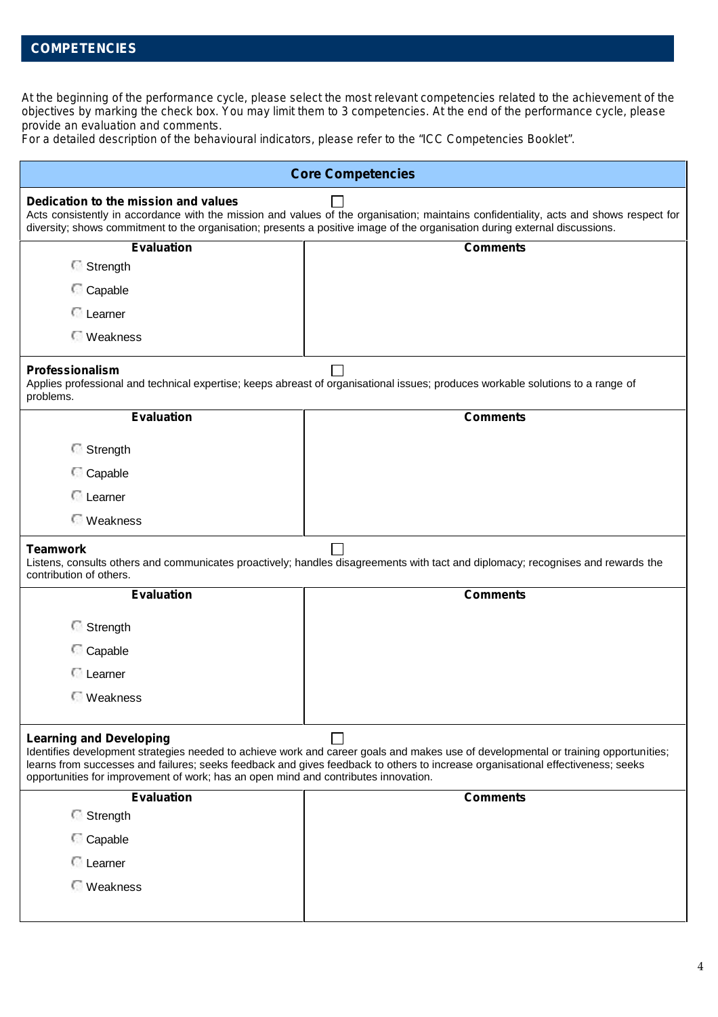## **COMPETENCIES**

*At the beginning of the performance cycle, please select the most relevant competencies related to the achievement of the objectives by marking the check box. You may limit them to 3 competencies. At the end of the performance cycle, please provide an evaluation and comments.*

*For a detailed description of the behavioural indicators, please refer to the "ICC Competencies Booklet".*

| <b>Core Competencies</b>                                                                                              |                                                                                                                                                                                                                                                                        |
|-----------------------------------------------------------------------------------------------------------------------|------------------------------------------------------------------------------------------------------------------------------------------------------------------------------------------------------------------------------------------------------------------------|
| Dedication to the mission and values                                                                                  | Acts consistently in accordance with the mission and values of the organisation; maintains confidentiality, acts and shows respect for<br>diversity; shows commitment to the organisation; presents a positive image of the organisation during external discussions.  |
| <b>Evaluation</b>                                                                                                     | <b>Comments</b>                                                                                                                                                                                                                                                        |
| Strength                                                                                                              |                                                                                                                                                                                                                                                                        |
| Capable                                                                                                               |                                                                                                                                                                                                                                                                        |
| <b>C</b> Learner                                                                                                      |                                                                                                                                                                                                                                                                        |
| <b>Weakness</b>                                                                                                       |                                                                                                                                                                                                                                                                        |
| <b>Professionalism</b><br>problems.                                                                                   | Applies professional and technical expertise; keeps abreast of organisational issues; produces workable solutions to a range of                                                                                                                                        |
| <b>Evaluation</b>                                                                                                     | <b>Comments</b>                                                                                                                                                                                                                                                        |
| Strength                                                                                                              |                                                                                                                                                                                                                                                                        |
| Capable                                                                                                               |                                                                                                                                                                                                                                                                        |
| <b>E</b> Learner                                                                                                      |                                                                                                                                                                                                                                                                        |
| <b>Weakness</b>                                                                                                       |                                                                                                                                                                                                                                                                        |
| <b>Teamwork</b><br>contribution of others.                                                                            | Listens, consults others and communicates proactively; handles disagreements with tact and diplomacy; recognises and rewards the                                                                                                                                       |
| <b>Evaluation</b>                                                                                                     | <b>Comments</b>                                                                                                                                                                                                                                                        |
| Strength                                                                                                              |                                                                                                                                                                                                                                                                        |
| Capable                                                                                                               |                                                                                                                                                                                                                                                                        |
| <b>C</b> Learner                                                                                                      |                                                                                                                                                                                                                                                                        |
| <b>Weakness</b>                                                                                                       |                                                                                                                                                                                                                                                                        |
|                                                                                                                       |                                                                                                                                                                                                                                                                        |
| <b>Learning and Developing</b><br>opportunities for improvement of work; has an open mind and contributes innovation. | Identifies development strategies needed to achieve work and career goals and makes use of developmental or training opportunities;<br>learns from successes and failures; seeks feedback and gives feedback to others to increase organisational effectiveness; seeks |
| Evaluation                                                                                                            | <b>Comments</b>                                                                                                                                                                                                                                                        |
| Strength                                                                                                              |                                                                                                                                                                                                                                                                        |
| Capable                                                                                                               |                                                                                                                                                                                                                                                                        |
| <b>C</b> Learner                                                                                                      |                                                                                                                                                                                                                                                                        |
| <b>Weakness</b>                                                                                                       |                                                                                                                                                                                                                                                                        |
|                                                                                                                       |                                                                                                                                                                                                                                                                        |
|                                                                                                                       |                                                                                                                                                                                                                                                                        |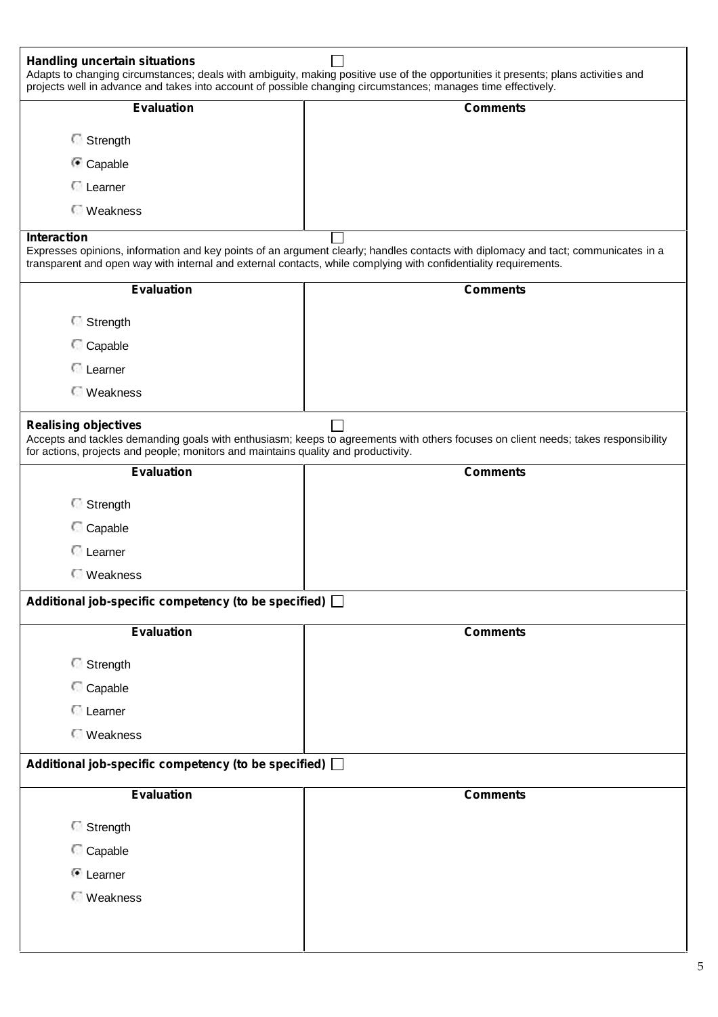| <b>Evaluation</b>                                                                  | <b>Comments</b>                                                                                                                                                                                                                                        |
|------------------------------------------------------------------------------------|--------------------------------------------------------------------------------------------------------------------------------------------------------------------------------------------------------------------------------------------------------|
| Strength                                                                           |                                                                                                                                                                                                                                                        |
| Capable                                                                            |                                                                                                                                                                                                                                                        |
| <b>C</b> Learner                                                                   |                                                                                                                                                                                                                                                        |
| <b>Weakness</b>                                                                    |                                                                                                                                                                                                                                                        |
| Interaction                                                                        |                                                                                                                                                                                                                                                        |
|                                                                                    | Expresses opinions, information and key points of an argument clearly; handles contacts with diplomacy and tact; communicates in a<br>transparent and open way with internal and external contacts, while complying with confidentiality requirements. |
| <b>Evaluation</b>                                                                  | <b>Comments</b>                                                                                                                                                                                                                                        |
| Strength                                                                           |                                                                                                                                                                                                                                                        |
| Capable                                                                            |                                                                                                                                                                                                                                                        |
| <b>E</b> Learner                                                                   |                                                                                                                                                                                                                                                        |
| <b>Weakness</b>                                                                    |                                                                                                                                                                                                                                                        |
| <b>Realising objectives</b>                                                        | Accepts and tackles demanding goals with enthusiasm; keeps to agreements with others focuses on client needs; takes responsibility                                                                                                                     |
| for actions, projects and people; monitors and maintains quality and productivity. |                                                                                                                                                                                                                                                        |
| <b>Evaluation</b>                                                                  | <b>Comments</b>                                                                                                                                                                                                                                        |
| Strength                                                                           |                                                                                                                                                                                                                                                        |
| Capable                                                                            |                                                                                                                                                                                                                                                        |
| <b>C</b> Learner                                                                   |                                                                                                                                                                                                                                                        |
|                                                                                    |                                                                                                                                                                                                                                                        |
| <b>Weakness</b>                                                                    |                                                                                                                                                                                                                                                        |
| Additional job-specific competency (to be specified) [                             |                                                                                                                                                                                                                                                        |
| <b>Evaluation</b>                                                                  | <b>Comments</b>                                                                                                                                                                                                                                        |
|                                                                                    |                                                                                                                                                                                                                                                        |
| Strength                                                                           |                                                                                                                                                                                                                                                        |
| Capable<br><b>C</b> Learner                                                        |                                                                                                                                                                                                                                                        |
| <b>Weakness</b>                                                                    |                                                                                                                                                                                                                                                        |
| Additional job-specific competency (to be specified) [                             |                                                                                                                                                                                                                                                        |
| <b>Evaluation</b>                                                                  | <b>Comments</b>                                                                                                                                                                                                                                        |
| Strength                                                                           |                                                                                                                                                                                                                                                        |
| Capable                                                                            |                                                                                                                                                                                                                                                        |
| <sup>1</sup> Learner                                                               |                                                                                                                                                                                                                                                        |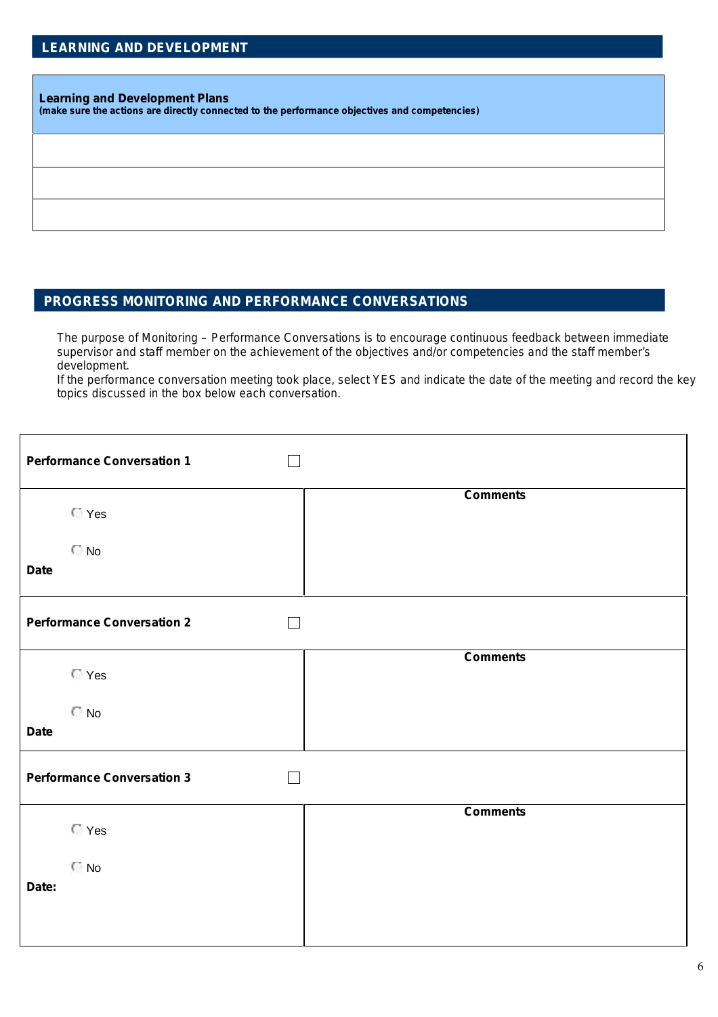#### **Learning and Development Plans**

**(make sure the actions are directly connected to the performance objectives and competencies)**

## **PROGRESS MONITORING AND PERFORMANCE CONVERSATIONS**

*The purpose of Monitoring – Performance Conversations is to encourage continuous feedback between immediate supervisor and staff member on the achievement of the objectives and/or competencies and the staff member's development.*

*If the performance conversation meeting took place, select YES and indicate the date of the meeting and record the key topics discussed in the box below each conversation.*

| <b>Performance Conversation 1</b>           |                 |
|---------------------------------------------|-----------------|
| <b>T</b> Yes                                | <b>Comments</b> |
| <b>No</b><br><b>Date</b>                    |                 |
| <b>Performance Conversation 2</b>           |                 |
| <b>T</b> Yes                                | <b>Comments</b> |
| $\Box$ No<br><b>Date</b>                    |                 |
| <b>Performance Conversation 3</b><br>$\sim$ |                 |
| <b>T</b> Yes                                | <b>Comments</b> |
| $\Box$ No                                   |                 |
| Date:                                       |                 |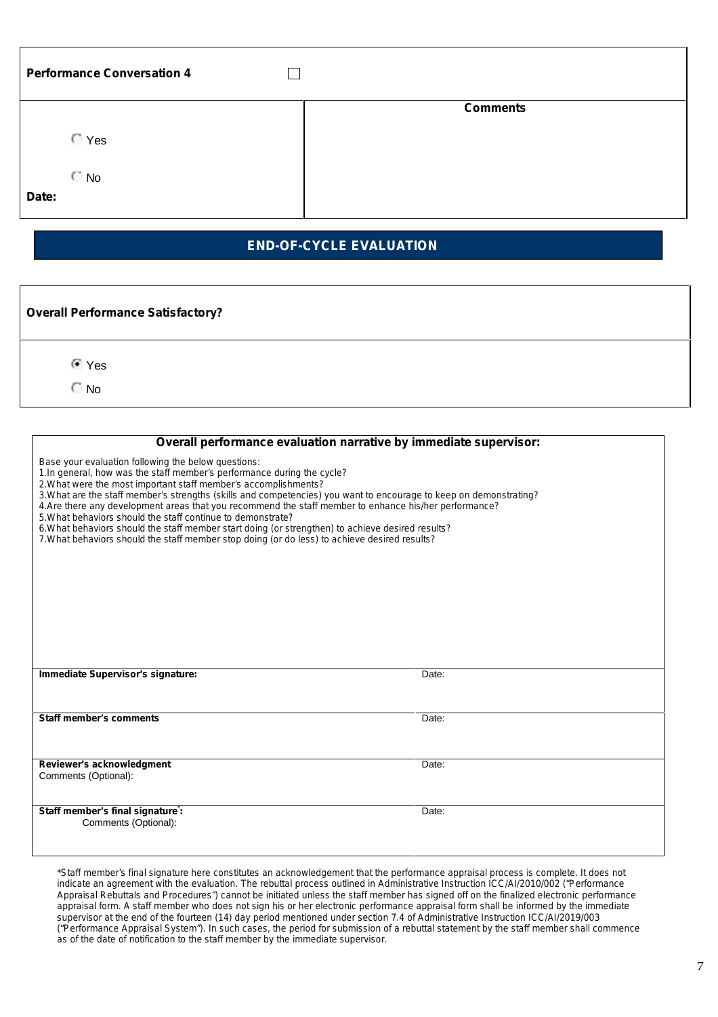| <b>Performance Conversation 4</b> |                 |
|-----------------------------------|-----------------|
|                                   | <b>Comments</b> |
| <b>T</b> Yes                      |                 |
| $\Box$ No                         |                 |
| Date:                             |                 |

### **END-OF-CYCLE EVALUATION**

| <b>Overall Performance Satisfactory?</b> |  |
|------------------------------------------|--|
| ⊕ Yes<br>୮ No                            |  |

| Overall performance evaluation narrative by immediate supervisor:                                                                                                                                                                                                                                                                                                                                                                                                                                                                                                                                                                                                                                      |       |
|--------------------------------------------------------------------------------------------------------------------------------------------------------------------------------------------------------------------------------------------------------------------------------------------------------------------------------------------------------------------------------------------------------------------------------------------------------------------------------------------------------------------------------------------------------------------------------------------------------------------------------------------------------------------------------------------------------|-------|
| Base your evaluation following the below questions:<br>1. In general, how was the staff member's performance during the cycle?<br>2. What were the most important staff member's accomplishments?<br>3. What are the staff member's strengths (skills and competencies) you want to encourage to keep on demonstrating?<br>4. Are there any development areas that you recommend the staff member to enhance his/her performance?<br>5. What behaviors should the staff continue to demonstrate?<br>6. What behaviors should the staff member start doing (or strengthen) to achieve desired results?<br>7. What behaviors should the staff member stop doing (or do less) to achieve desired results? |       |
|                                                                                                                                                                                                                                                                                                                                                                                                                                                                                                                                                                                                                                                                                                        |       |
| Immediate Supervisor's signature:                                                                                                                                                                                                                                                                                                                                                                                                                                                                                                                                                                                                                                                                      | Date: |
| <b>Staff member's comments</b>                                                                                                                                                                                                                                                                                                                                                                                                                                                                                                                                                                                                                                                                         | Date: |
| Reviewer's acknowledgment<br>Comments (Optional):                                                                                                                                                                                                                                                                                                                                                                                                                                                                                                                                                                                                                                                      | Date: |
| Staff member's final signature:<br>Comments (Optional):                                                                                                                                                                                                                                                                                                                                                                                                                                                                                                                                                                                                                                                | Date: |

*\*Staff member's final signature here constitutes an acknowledgement that the performance appraisal process is complete. It does not indicate an agreement with the evaluation. The rebuttal process outlined in Administrative Instruction ICC/AI/2010/002 ("Performance Appraisal Rebuttals and Procedures") cannot be initiated unless the staff member has signed off on the finalized electronic performance appraisal form. A staff member who does not sign his or her electronic performance appraisal form shall be informed by the immediate supervisor at the end of the fourteen (14) day period mentioned under section 7.4 of Administrative Instruction ICC/AI/2019/003 ("Performance Appraisal System"). In such cases, the period for submission of a rebuttal statement by the staff member shall commence as of the date of notification to the staff member by the immediate supervisor.*